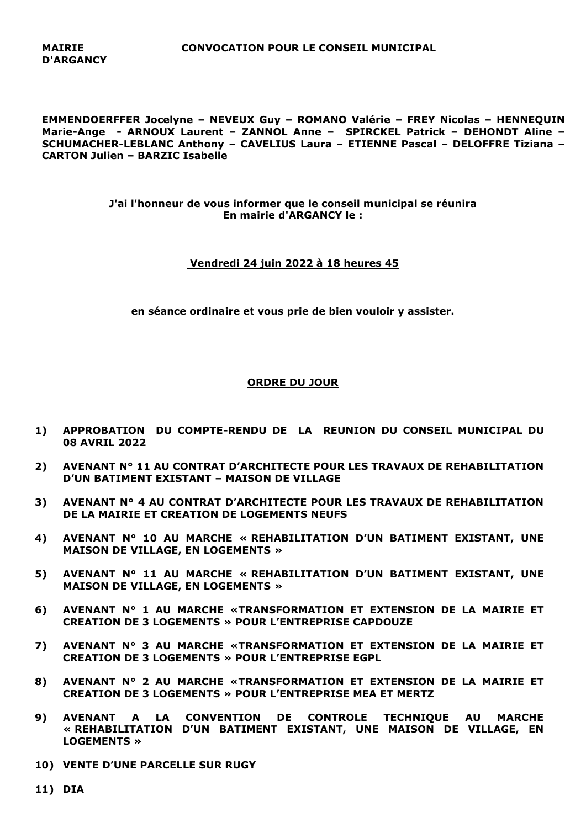**MAIRIE CONVOCATION POUR LE CONSEIL MUNICIPAL**

**EMMENDOERFFER Jocelyne – NEVEUX Guy – ROMANO Valérie – FREY Nicolas – HENNEQUIN Marie-Ange - ARNOUX Laurent – ZANNOL Anne – SPIRCKEL Patrick – DEHONDT Aline – SCHUMACHER-LEBLANC Anthony – CAVELIUS Laura – ETIENNE Pascal – DELOFFRE Tiziana – CARTON Julien – BARZIC Isabelle**

> **J'ai l'honneur de vous informer que le conseil municipal se réunira En mairie d'ARGANCY le :**

## **Vendredi 24 juin 2022 à 18 heures 45**

**en séance ordinaire et vous prie de bien vouloir y assister.**

## **ORDRE DU JOUR**

- **1) APPROBATION DU COMPTE-RENDU DE LA REUNION DU CONSEIL MUNICIPAL DU 08 AVRIL 2022**
- **2) AVENANT N° 11 AU CONTRAT D'ARCHITECTE POUR LES TRAVAUX DE REHABILITATION D'UN BATIMENT EXISTANT – MAISON DE VILLAGE**
- **3) AVENANT N° 4 AU CONTRAT D'ARCHITECTE POUR LES TRAVAUX DE REHABILITATION DE LA MAIRIE ET CREATION DE LOGEMENTS NEUFS**
- **4) AVENANT N° 10 AU MARCHE « REHABILITATION D'UN BATIMENT EXISTANT, UNE MAISON DE VILLAGE, EN LOGEMENTS »**
- **5) AVENANT N° 11 AU MARCHE « REHABILITATION D'UN BATIMENT EXISTANT, UNE MAISON DE VILLAGE, EN LOGEMENTS »**
- **6) AVENANT N° 1 AU MARCHE «TRANSFORMATION ET EXTENSION DE LA MAIRIE ET CREATION DE 3 LOGEMENTS » POUR L'ENTREPRISE CAPDOUZE**
- **7) AVENANT N° 3 AU MARCHE «TRANSFORMATION ET EXTENSION DE LA MAIRIE ET CREATION DE 3 LOGEMENTS » POUR L'ENTREPRISE EGPL**
- **8) AVENANT N° 2 AU MARCHE «TRANSFORMATION ET EXTENSION DE LA MAIRIE ET CREATION DE 3 LOGEMENTS » POUR L'ENTREPRISE MEA ET MERTZ**
- **9) AVENANT A LA CONVENTION DE CONTROLE TECHNIQUE AU MARCHE « REHABILITATION D'UN BATIMENT EXISTANT, UNE MAISON DE VILLAGE, EN LOGEMENTS »**
- **10) VENTE D'UNE PARCELLE SUR RUGY**
- **11) DIA**